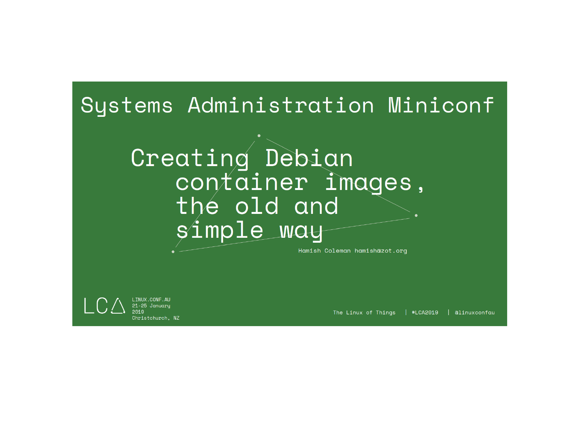## Systems Administration Miniconf

## Creating Debian container images, the old and simple way

Hamish Coleman hamishazot.org

LINUX.CONF.AU 21-25 January Christchurch, NZ

The Linux of Things | #LCA2019 | alinuxconfau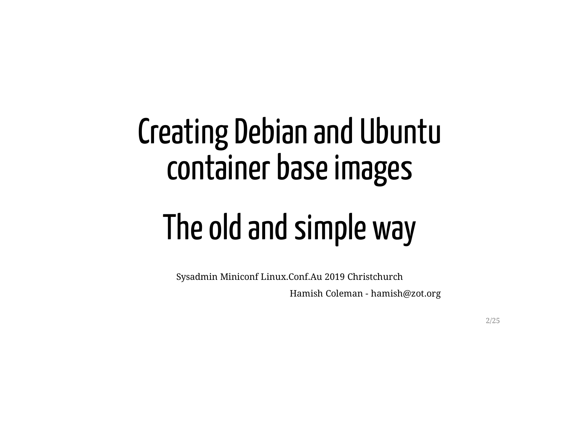## Creating Debian and Ubuntu container base images

# The old and simple way

Sysadmin Miniconf Linux.Conf.Au 2019 Christchurch

Hamish Coleman - hamish@zot.org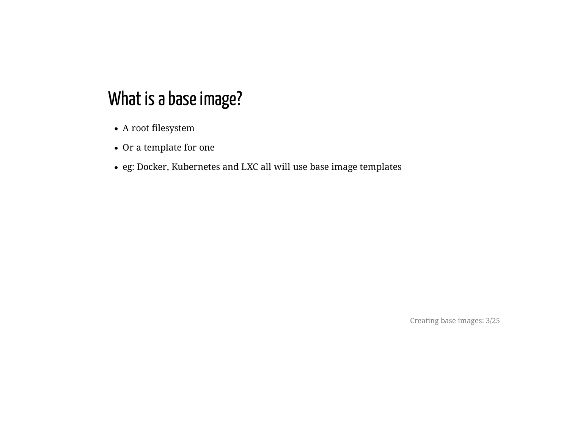- A root filesystem
- Or a template for one
- eg: Docker, Kubernetes and LXC all will use base image templates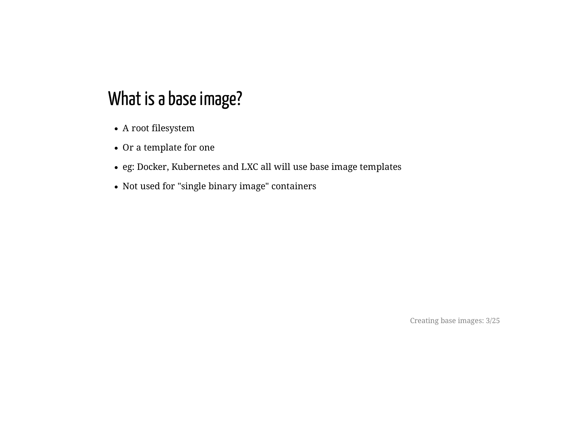- A root filesystem
- Or a template for one
- eg: Docker, Kubernetes and LXC all will use base image templates
- Not used for "single binary image" containers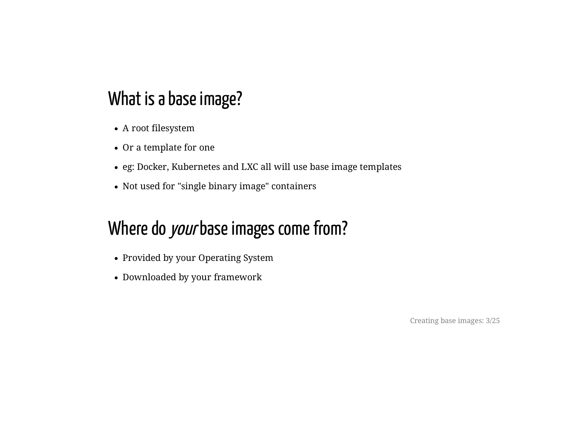- A root filesystem
- Or a template for one
- eg: Docker, Kubernetes and LXC all will use base image templates
- Not used for "single binary image" containers

## Where do your base images come from?

- Provided by your Operating System
- Downloaded by your framework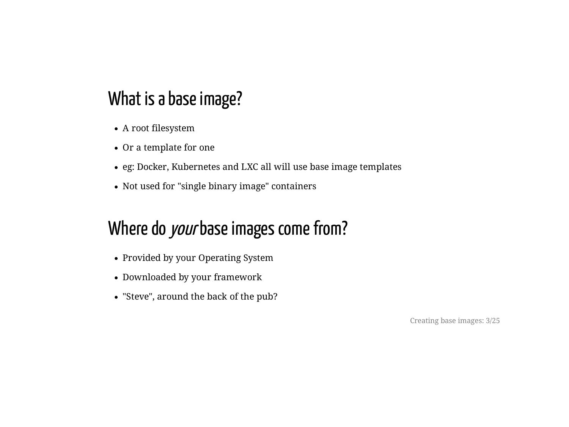- A root filesystem
- Or a template for one
- eg: Docker, Kubernetes and LXC all will use base image templates
- Not used for "single binary image" containers

## Where do your base images come from?

- Provided by your Operating System
- Downloaded by your framework
- "Steve", around the back of the pub?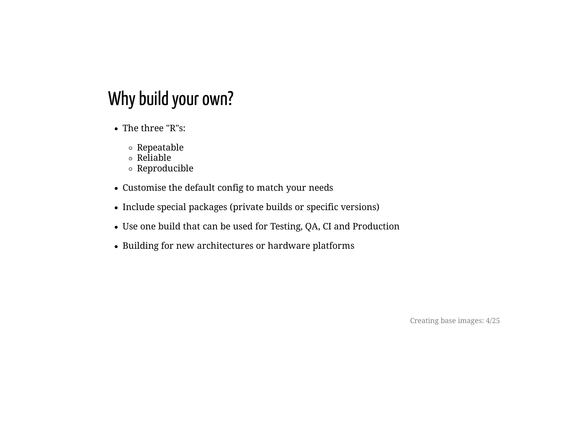## Why build your own?

- The three "R"s:
	- Repeatable
	- $\circ$  Reliable
	- Reproducible
- Customise the default config to match your needs
- Include special packages (private builds or specific versions)
- Use one build that can be used for Testing, QA, CI and Production
- Building for new architectures or hardware platforms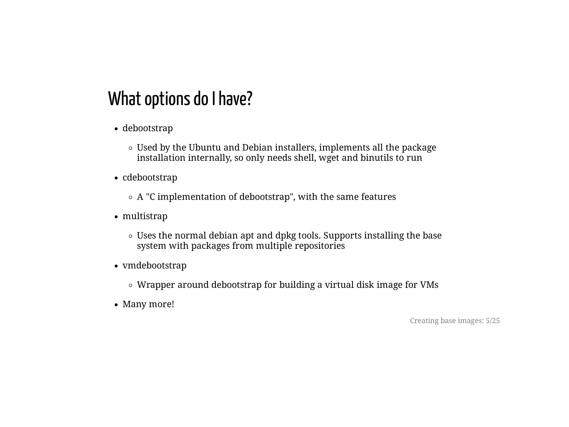## What options do I have?

- debootstrap
	- Used by the Ubuntu and Debian installers, implements all the package installation internally, so only needs shell, wget and binutils to run
- cdebootstrap
	- $\circ$  A "C implementation of debootstrap", with the same features
- multistrap
	- Uses the normal debian apt and dpkg tools. Supports installing the base system with packages from multiple repositories
- vmdebootstrap
	- Wrapper around debootstrap for building a virtual disk image for VMs
- Many more!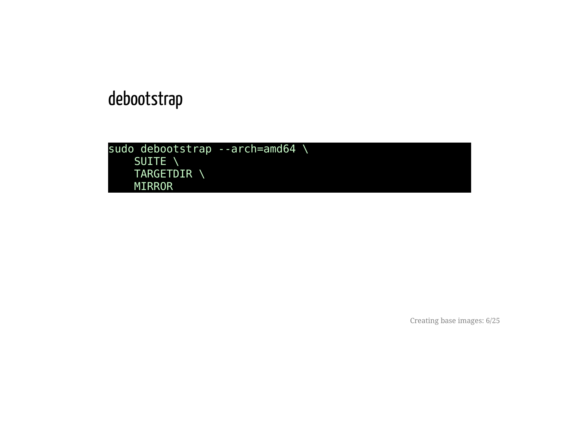## debootstrap

```
sudo debootstrap --arch=amd64 \
    SUITE \
    TARGETDIR \
   MIRROR
```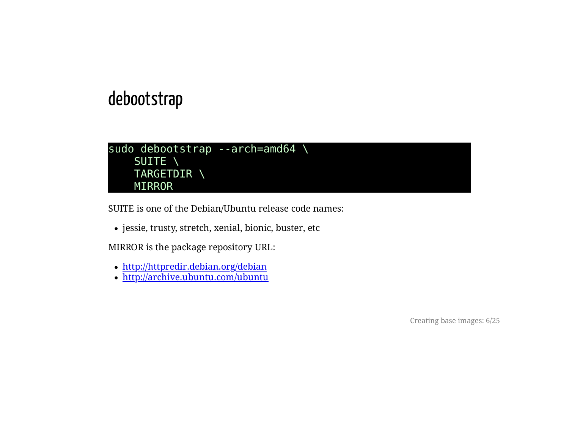#### debootstrap

```
sudo debootstrap --arch=amd64 \
   SUITE \
    TARGETDIR \
   MIRROR
```
SUITE is one of the Debian/Ubuntu release code names:

• jessie, trusty, stretch, xenial, bionic, buster, etc

MIRROR is the package repository URL:

- <http://httpredir.debian.org/debian>
- <http://archive.ubuntu.com/ubuntu>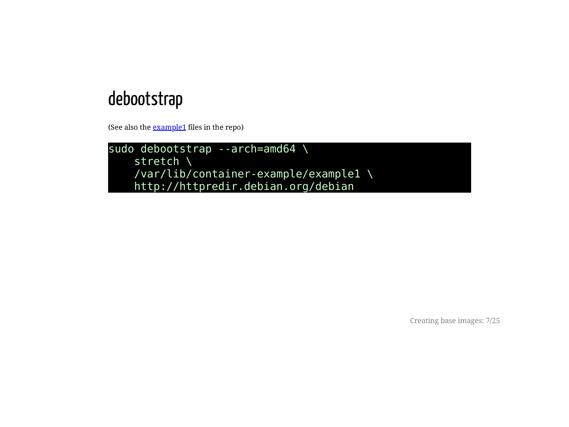#### debootstrap

(See also the **[example1](https://hamishcoleman.github.io/talk-containers1/example1)** files in the repo)

sudo debootstrap --arch=amd64 \ stretch \ /var/lib/container-example/example1 \ http://httpredir.debian.org/debian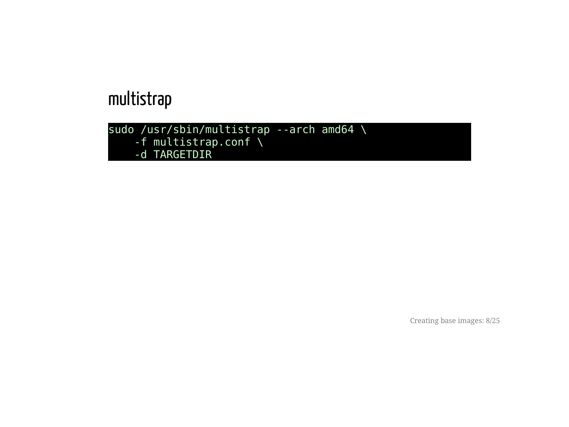```
sudo /usr/sbin/multistrap --arch amd64 \
   -f multistrap.conf \
   -d TARGETDIR
```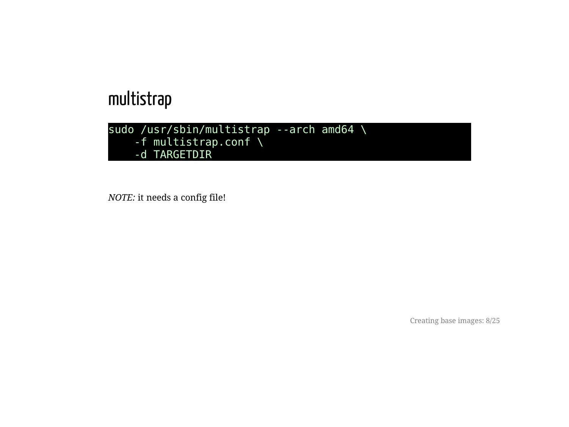```
sudo /usr/sbin/multistrap --arch amd64 \
   -f multistrap.conf \
   -d TARGETDIR
```
*NOTE:* it needs a config file!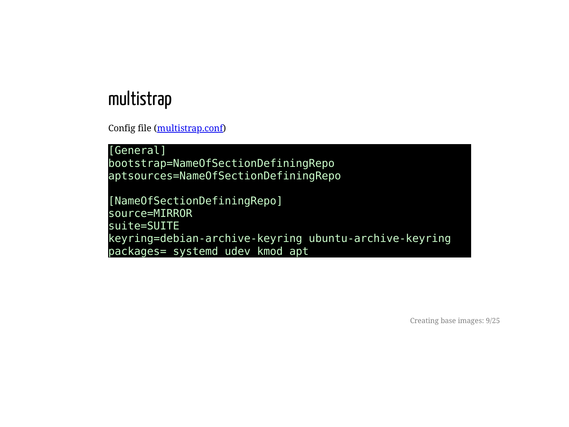Config file ([multistrap.conf\)](https://hamishcoleman.github.io/talk-containers1/example2/multistrap.conf)

[General] bootstrap=NameOfSectionDefiningRepo aptsources=NameOfSectionDefiningRepo

[NameOfSectionDefiningRepo] source=MIRROR suite=SUITE keyring=debian-archive-keyring ubuntu-archive-keyring packages= systemd udev kmod apt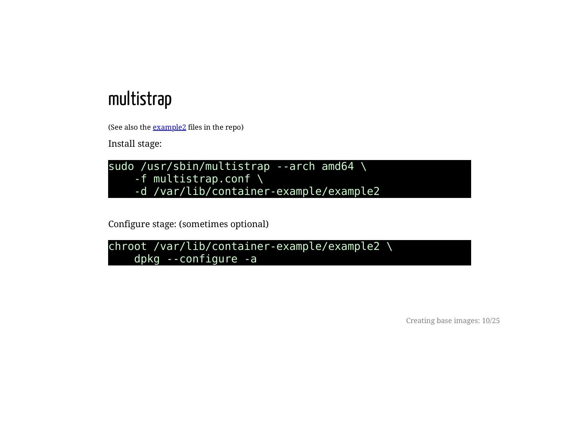(See also the [example2](https://hamishcoleman.github.io/talk-containers1/example2) files in the repo)

Install stage:



Configure stage: (sometimes optional)

```
chroot /var/lib/container-example/example2 \
   dpkg --configure -a
```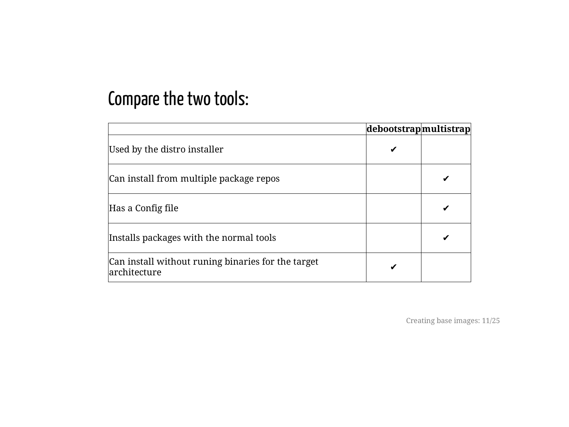## Compare the two tools:

|                                                                    | debootstrapmultistrap |  |
|--------------------------------------------------------------------|-----------------------|--|
| Used by the distro installer                                       |                       |  |
| Can install from multiple package repos                            |                       |  |
| Has a Config file                                                  |                       |  |
| Installs packages with the normal tools                            |                       |  |
| Can install without runing binaries for the target<br>architecture |                       |  |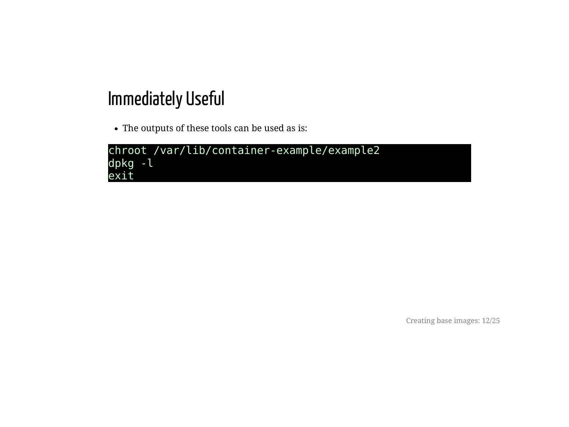## Immediately Useful

The outputs of these tools can be used as is:

```
chroot /var/lib/container-example/example2
dpkg -l
exit
```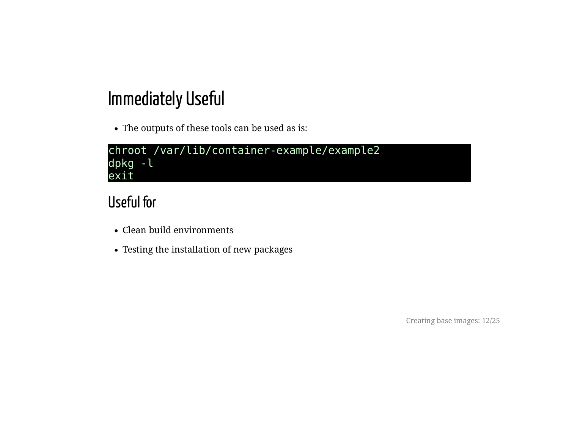## Immediately Useful

The outputs of these tools can be used as is:

```
chroot /var/lib/container-example/example2
dpkg -l
exit
```
#### Useful for

- Clean build environments
- Testing the installation of new packages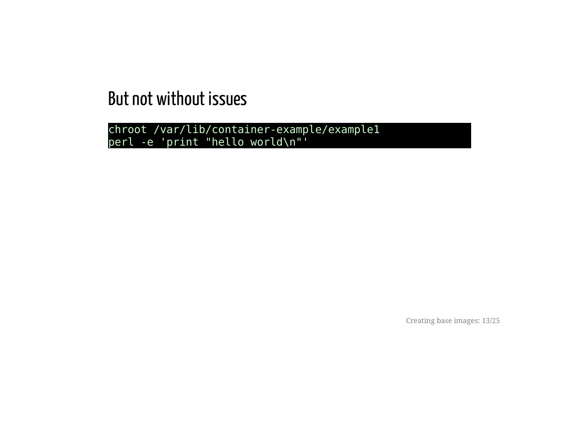chroot /var/lib/container-example/example1 perl -e 'print "hello world\n"'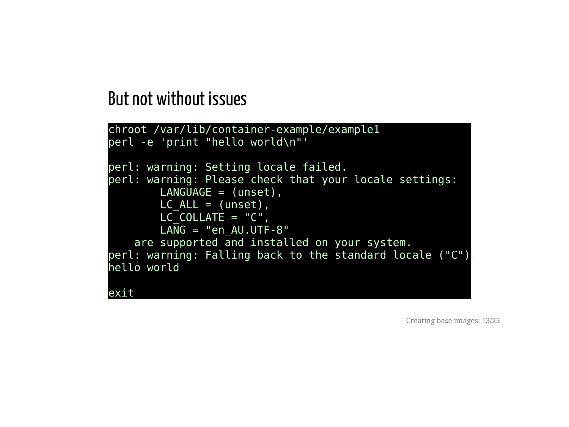```
chroot /var/lib/container-example/example1
perl -e 'print "hello world\n"'
perl: warning: Setting locale failed.
perl: warning: Please check that your locale settings:
        LANGUAGE = (unset),
       LC ALL = (unset),
        LCCOLLATE = "C",LANG = "en AU.UTF-8"are supported and installed on your system.
perl: warning: Falling back to the standard locale ("C").
hello world
exit
```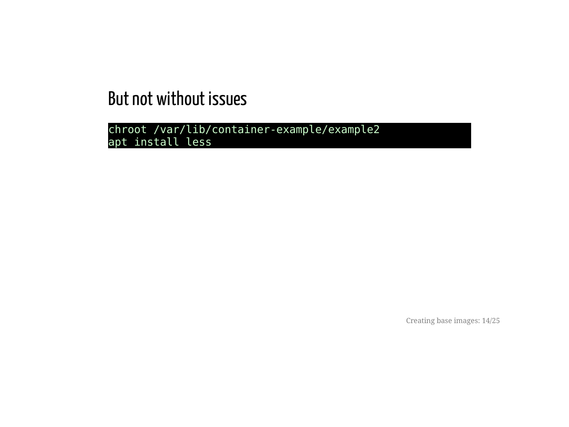chroot /var/lib/container-example/example2 apt install less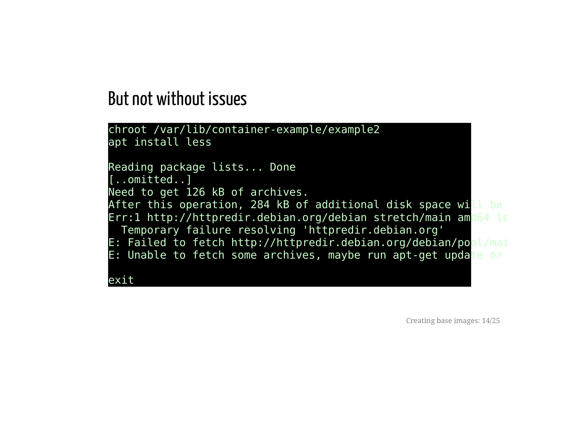```
chroot /var/lib/container-example/example2
apt install less
Reading package lists... Done
[..omitted..]
Need to get 126 kB of archives.
After this operation, 284 kB of additional disk space will be
Err:1 http://httpredir.debian.org/debian stretch/main amd64 le
 Temporary failure resolving 'httpredir.debian.org'
E: Failed to fetch http://httpredir.debian.org/debian/pool/mai
E: Unable to fetch some archives, maybe run apt-get update or
exit
```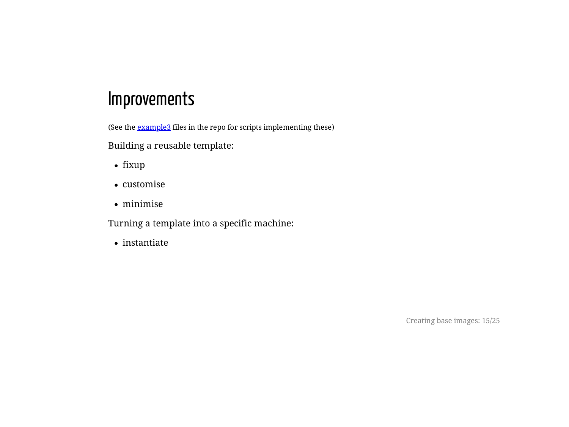#### Improvements

(See the **[example3](https://hamishcoleman.github.io/talk-containers1/example3)** files in the repo for scripts implementing these)

Building a reusable template:

- fixup
- customise
- minimise

Turning a template into a specific machine:

• instantiate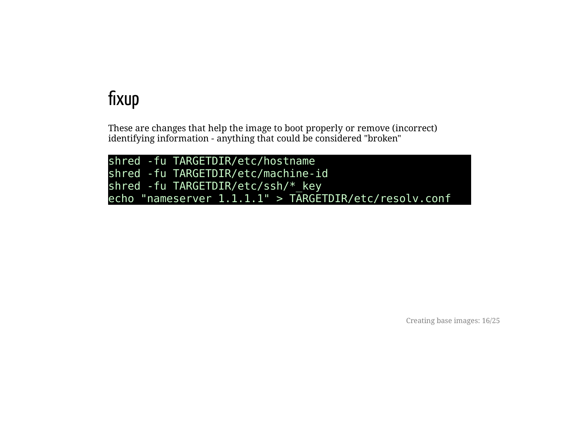## fixup

These are changes that help the image to boot properly or remove (incorrect) identifying information - anything that could be considered "broken"

shred -fu TARGETDIR/etc/hostname shred -fu TARGETDIR/etc/machine-id shred -fu TARGETDIR/etc/ssh/\*\_key echo "nameserver 1.1.1.1" > TARGETDIR/etc/resolv.conf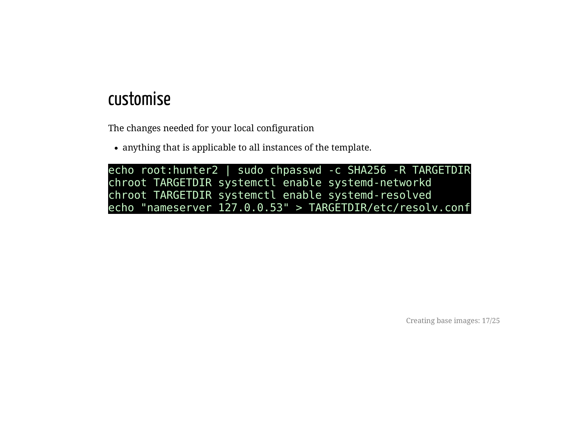#### customise

The changes needed for your local configuration

anything that is applicable to all instances of the template.

echo root:hunter2 | sudo chpasswd -c SHA256 -R TARGETDIR chroot TARGETDIR systemctl enable systemd-networkd chroot TARGETDIR systemctl enable systemd-resolved echo "nameserver 127.0.0.53" > TARGETDIR/etc/resolv.conf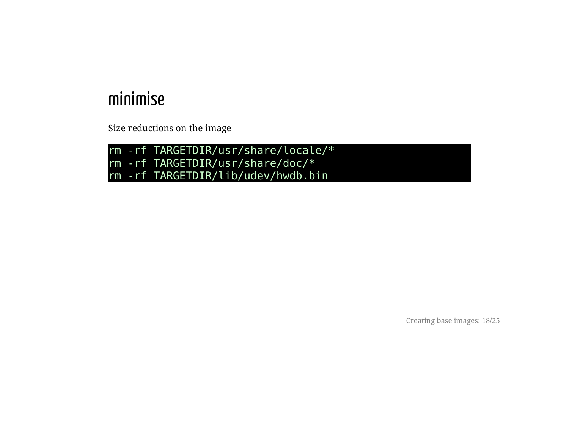#### minimise

Size reductions on the image

rm -rf TARGETDIR/usr/share/locale/\* rm -rf TARGETDIR/usr/share/doc/\* rm -rf TARGETDIR/lib/udev/hwdb.bin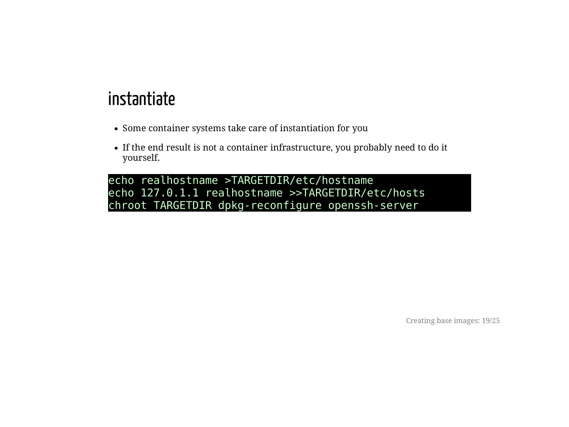#### instantiate

- Some container systems take care of instantiation for you
- If the end result is not a container infrastructure, you probably need to do it yourself.

echo realhostname >TARGETDIR/etc/hostname echo 127.0.1.1 realhostname >>TARGETDIR/etc/hosts chroot TARGETDIR dpkg-reconfigure openssh-server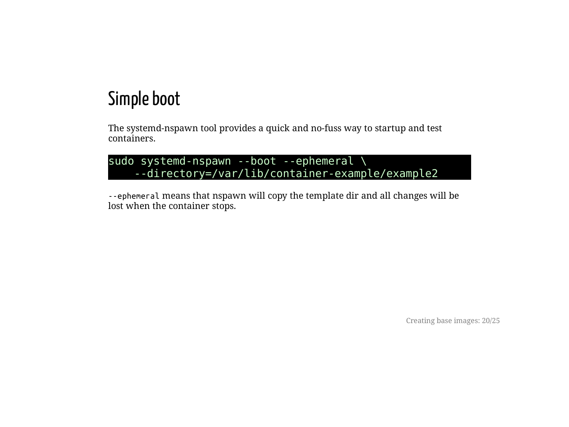### Simple boot

The systemd-nspawn tool provides a quick and no-fuss way to startup and test containers.

```
sudo systemd-nspawn --boot --ephemeral \
    --directory=/var/lib/container-example/example2
```
--ephemeral means that nspawn will copy the template dir and all changes will be lost when the container stops.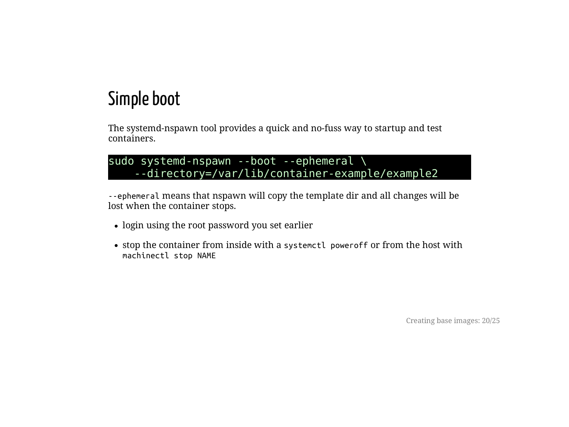## Simple boot

The systemd-nspawn tool provides a quick and no-fuss way to startup and test containers.

```
sudo systemd-nspawn --boot --ephemeral \
    --directory=/var/lib/container-example/example2
```
--ephemeral means that nspawn will copy the template dir and all changes will be lost when the container stops.

- login using the root password you set earlier
- stop the container from inside with a systemetl power of for from the host with machinectl stop NAME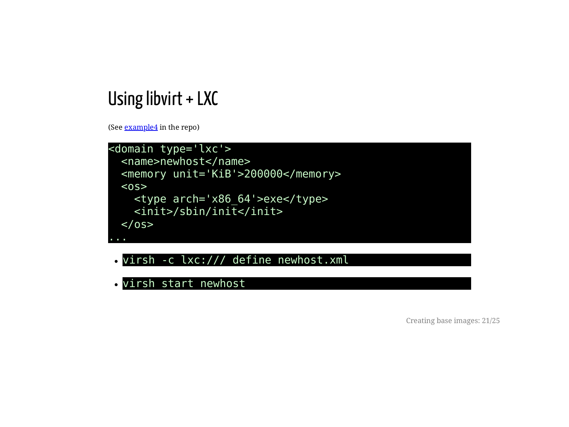#### Using libvirt  $+$  LXC

(See **[example4](https://hamishcoleman.github.io/talk-containers1/example4)** in the repo)



- virsh -c lxc:/// define newhost.xml
- virsh start newhost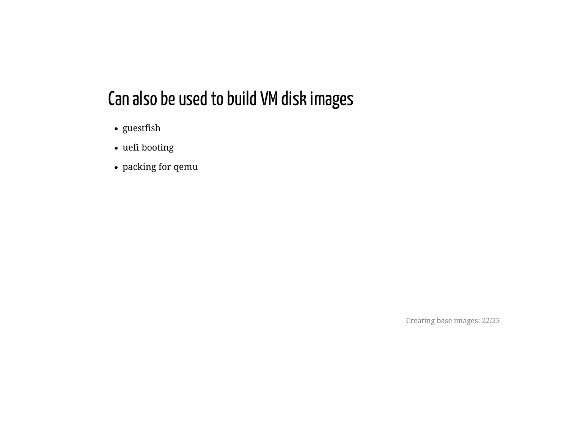## Can also be used to build VM disk images

- guestfish
- uefi booting
- packing for qemu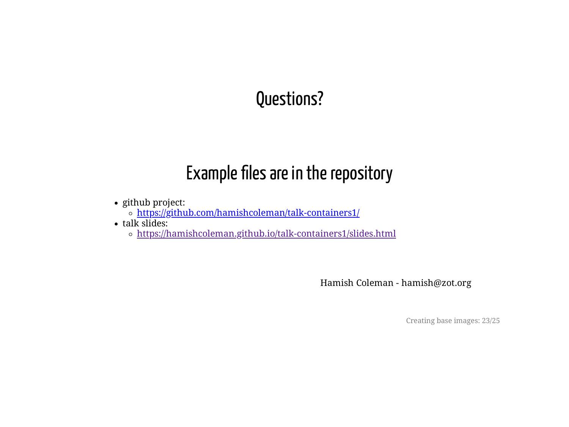## Questions?

## Example files are in the repository

- github project:
	- <https://github.com/hamishcoleman/talk-containers1/>
- $\cdot$  talk slides:
	- o <https://hamishcoleman.github.io/talk-containers1/slides.html>

Hamish Coleman - hamish@zot.org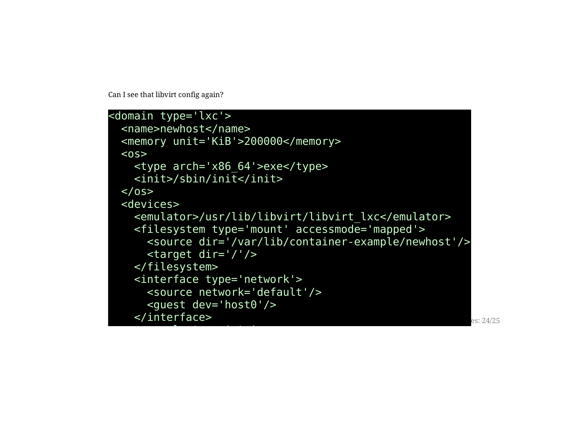Can I see that libvirt config again?

 $\overline{\phantom{a}}$ 

```
<domain type='lxc'>
 <name>newhost</name>
 <memory unit='KiB'>200000</memory>
 <sub>0S</sub></sub>
   <type arch='x86_64'>exe</type>
   <init>/sbin/init</init>
 </0S>
 <devices>
   <emulator>/usr/lib/libvirt/libvirt_lxc</emulator>
    <filesystem type='mount' accessmode='mapped'>
      <source dir='/var/lib/container-example/newhost'/>
      <target dir='/'/>
   </filesystem>
   <interface type='network'>
      <source network='default'/>
      <guest dev='host0'/>
   </interface>
```
es: 24/25